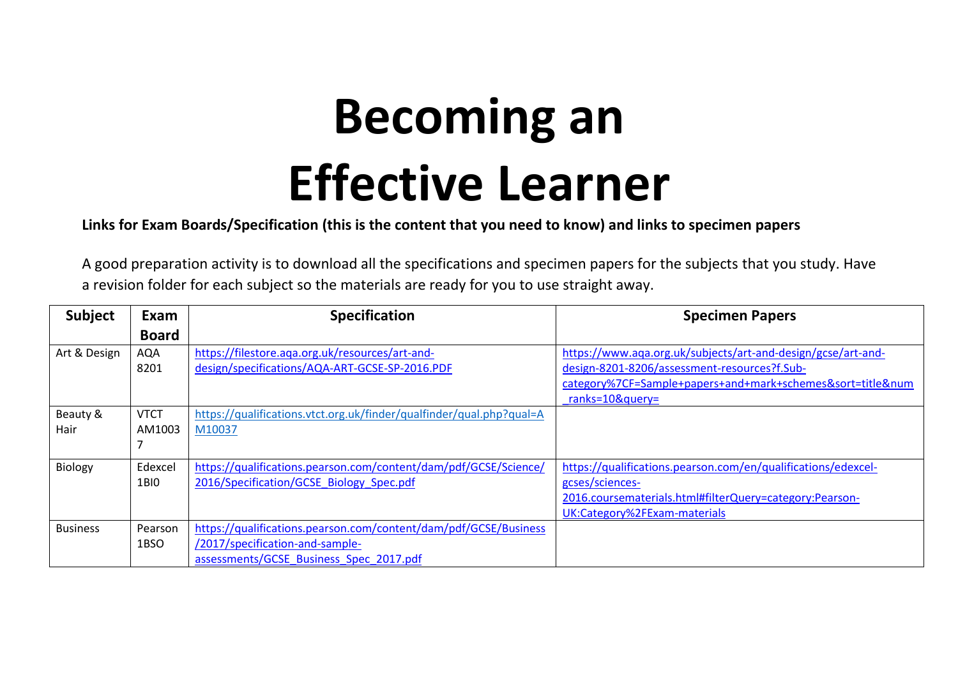## **Becoming an Effective Learner**

**Links for Exam Boards/Specification (this is the content that you need to know) and links to specimen papers** 

A good preparation activity is to download all the specifications and specimen papers for the subjects that you study. Have a revision folder for each subject so the materials are ready for you to use straight away.

| <b>Subject</b>  | Exam        | <b>Specification</b>                                                 | <b>Specimen Papers</b>                                        |
|-----------------|-------------|----------------------------------------------------------------------|---------------------------------------------------------------|
|                 | Board       |                                                                      |                                                               |
| Art & Design    | <b>AQA</b>  | https://filestore.aga.org.uk/resources/art-and-                      | https://www.aqa.org.uk/subjects/art-and-design/gcse/art-and-  |
|                 | 8201        | design/specifications/AQA-ART-GCSE-SP-2016.PDF                       | design-8201-8206/assessment-resources?f.Sub-                  |
|                 |             |                                                                      | category%7CF=Sample+papers+and+mark+schemes&sort=title#       |
|                 |             |                                                                      | $ranks = 10$ &query=                                          |
| Beauty &        | <b>VTCT</b> | https://qualifications.vtct.org.uk/finder/qualfinder/qual.php?qual=A |                                                               |
| Hair            | AM1003      | M10037                                                               |                                                               |
|                 |             |                                                                      |                                                               |
| Biology         | Edexcel     | https://qualifications.pearson.com/content/dam/pdf/GCSE/Science/     | https://qualifications.pearson.com/en/qualifications/edexcel- |
|                 | 1BIO        | 2016/Specification/GCSE Biology Spec.pdf                             | gcses/sciences-                                               |
|                 |             |                                                                      | 2016.coursematerials.html#filterQuery=category:Pearson-       |
|                 |             |                                                                      | UK:Category%2FExam-materials                                  |
| <b>Business</b> | Pearson     | https://qualifications.pearson.com/content/dam/pdf/GCSE/Business     |                                                               |
|                 | 1BSO        | /2017/specification-and-sample-                                      |                                                               |
|                 |             | assessments/GCSE Business Spec 2017.pdf                              |                                                               |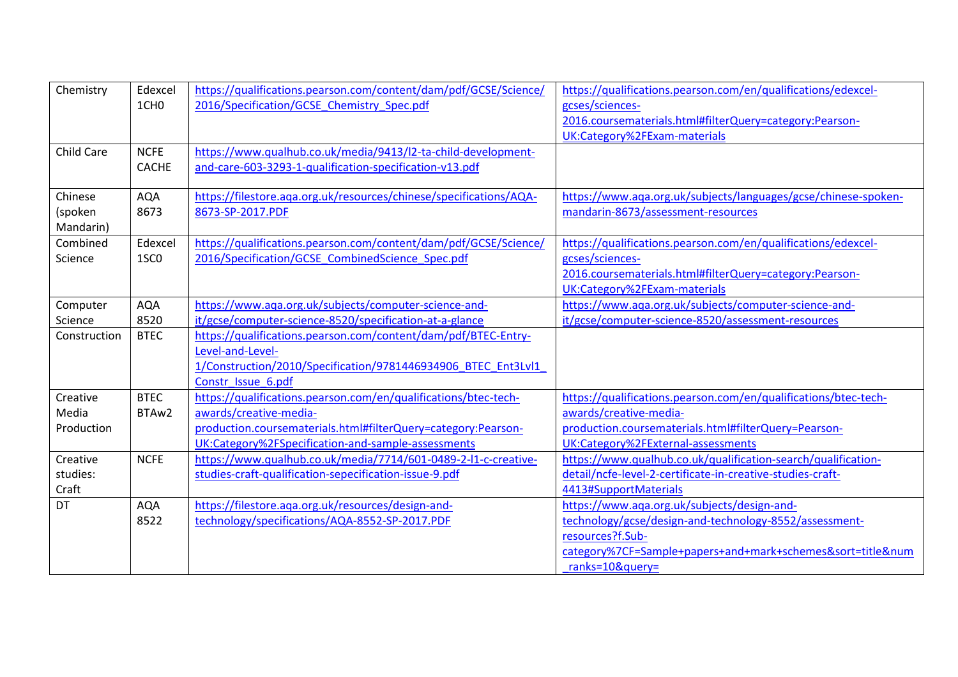| Chemistry         | Edexcel          | https://qualifications.pearson.com/content/dam/pdf/GCSE/Science/   | https://qualifications.pearson.com/en/qualifications/edexcel-   |
|-------------------|------------------|--------------------------------------------------------------------|-----------------------------------------------------------------|
|                   | 1CH <sub>0</sub> | 2016/Specification/GCSE Chemistry Spec.pdf                         | gcses/sciences-                                                 |
|                   |                  |                                                                    | 2016.coursematerials.html#filterQuery=category:Pearson-         |
|                   |                  |                                                                    | UK:Category%2FExam-materials                                    |
| <b>Child Care</b> | <b>NCFE</b>      | https://www.qualhub.co.uk/media/9413/l2-ta-child-development-      |                                                                 |
|                   | <b>CACHE</b>     | and-care-603-3293-1-qualification-specification-v13.pdf            |                                                                 |
|                   |                  |                                                                    |                                                                 |
| Chinese           | <b>AQA</b>       | https://filestore.aga.org.uk/resources/chinese/specifications/AQA- | https://www.aqa.org.uk/subjects/languages/gcse/chinese-spoken-  |
| (spoken           | 8673             | 8673-SP-2017.PDF                                                   | mandarin-8673/assessment-resources                              |
| Mandarin)         |                  |                                                                    |                                                                 |
| Combined          | Edexcel          | https://qualifications.pearson.com/content/dam/pdf/GCSE/Science/   | https://qualifications.pearson.com/en/qualifications/edexcel-   |
| Science           | 1SC <sub>0</sub> | 2016/Specification/GCSE CombinedScience Spec.pdf                   | gcses/sciences-                                                 |
|                   |                  |                                                                    | 2016.coursematerials.html#filterQuery=category:Pearson-         |
|                   |                  |                                                                    | UK:Category%2FExam-materials                                    |
| Computer          | <b>AQA</b>       | https://www.aga.org.uk/subjects/computer-science-and-              | https://www.aga.org.uk/subjects/computer-science-and-           |
| Science           | 8520             | it/gcse/computer-science-8520/specification-at-a-glance            | it/gcse/computer-science-8520/assessment-resources              |
| Construction      | <b>BTEC</b>      | https://qualifications.pearson.com/content/dam/pdf/BTEC-Entry-     |                                                                 |
|                   |                  | Level-and-Level-                                                   |                                                                 |
|                   |                  | 1/Construction/2010/Specification/9781446934906 BTEC Ent3Lvl1      |                                                                 |
|                   |                  | Constr_Issue_6.pdf                                                 |                                                                 |
| Creative          | <b>BTEC</b>      | https://qualifications.pearson.com/en/qualifications/btec-tech-    | https://qualifications.pearson.com/en/qualifications/btec-tech- |
| Media             | BTAw2            | awards/creative-media-                                             | awards/creative-media-                                          |
| Production        |                  | production.coursematerials.html#filterQuery=category:Pearson-      | production.coursematerials.html#filterQuery=Pearson-            |
|                   |                  | UK:Category%2FSpecification-and-sample-assessments                 | UK:Category%2FExternal-assessments                              |
| Creative          | <b>NCFE</b>      | https://www.qualhub.co.uk/media/7714/601-0489-2-l1-c-creative-     | https://www.qualhub.co.uk/qualification-search/qualification-   |
| studies:          |                  | studies-craft-qualification-sepecification-issue-9.pdf             | detail/ncfe-level-2-certificate-in-creative-studies-craft-      |
| Craft             |                  |                                                                    | 4413#SupportMaterials                                           |
| <b>DT</b>         | <b>AQA</b>       | https://filestore.aqa.org.uk/resources/design-and-                 | https://www.aqa.org.uk/subjects/design-and-                     |
|                   | 8522             | technology/specifications/AQA-8552-SP-2017.PDF                     | technology/gcse/design-and-technology-8552/assessment-          |
|                   |                  |                                                                    | resources?f.Sub-                                                |
|                   |                  |                                                                    | category%7CF=Sample+papers+and+mark+schemes&sort=title#         |
|                   |                  |                                                                    | ranks=10&query=                                                 |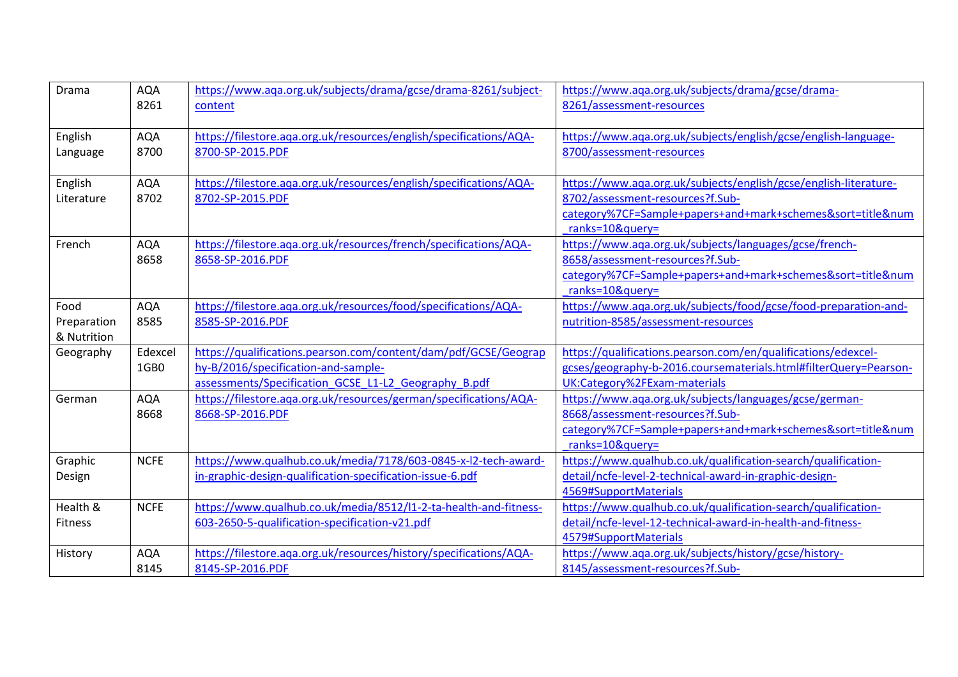| Drama          | <b>AQA</b>  | https://www.aqa.org.uk/subjects/drama/gcse/drama-8261/subject-     | https://www.aqa.org.uk/subjects/drama/gcse/drama-                |
|----------------|-------------|--------------------------------------------------------------------|------------------------------------------------------------------|
|                | 8261        | content                                                            | 8261/assessment-resources                                        |
|                |             |                                                                    |                                                                  |
| English        | <b>AQA</b>  | https://filestore.aqa.org.uk/resources/english/specifications/AQA- | https://www.aqa.org.uk/subjects/english/gcse/english-language-   |
| Language       | 8700        | 8700-SP-2015.PDF                                                   | 8700/assessment-resources                                        |
|                |             |                                                                    |                                                                  |
| English        | <b>AQA</b>  | https://filestore.aqa.org.uk/resources/english/specifications/AQA- | https://www.aqa.org.uk/subjects/english/gcse/english-literature- |
| Literature     | 8702        | 8702-SP-2015.PDF                                                   | 8702/assessment-resources?f.Sub-                                 |
|                |             |                                                                    | category%7CF=Sample+papers+and+mark+schemes&sort=title#          |
|                |             |                                                                    | ranks=10&query=                                                  |
| French         | <b>AQA</b>  | https://filestore.aga.org.uk/resources/french/specifications/AQA-  | https://www.aga.org.uk/subjects/languages/gcse/french-           |
|                | 8658        | 8658-SP-2016.PDF                                                   | 8658/assessment-resources?f.Sub-                                 |
|                |             |                                                                    | category%7CF=Sample+papers+and+mark+schemes&sort=title#          |
|                |             |                                                                    | ranks=10&query=                                                  |
| Food           | <b>AQA</b>  | https://filestore.aga.org.uk/resources/food/specifications/AQA-    | https://www.aqa.org.uk/subjects/food/gcse/food-preparation-and-  |
| Preparation    | 8585        | 8585-SP-2016.PDF                                                   | nutrition-8585/assessment-resources                              |
| & Nutrition    |             |                                                                    |                                                                  |
| Geography      | Edexcel     | https://qualifications.pearson.com/content/dam/pdf/GCSE/Geograp    | https://qualifications.pearson.com/en/qualifications/edexcel-    |
|                | 1GB0        | hy-B/2016/specification-and-sample-                                | gcses/geography-b-2016.coursematerials.html#filterQuery=Pearson- |
|                |             | assessments/Specification GCSE L1-L2 Geography B.pdf               | UK:Category%2FExam-materials                                     |
| German         | <b>AQA</b>  | https://filestore.aga.org.uk/resources/german/specifications/AQA-  | https://www.aga.org.uk/subjects/languages/gcse/german-           |
|                | 8668        | 8668-SP-2016.PDF                                                   | 8668/assessment-resources?f.Sub-                                 |
|                |             |                                                                    | category%7CF=Sample+papers+and+mark+schemes&sort=title#          |
|                |             |                                                                    | ranks=10&query=                                                  |
| Graphic        | <b>NCFE</b> | https://www.qualhub.co.uk/media/7178/603-0845-x-l2-tech-award-     | https://www.qualhub.co.uk/qualification-search/qualification-    |
| Design         |             | in-graphic-design-qualification-specification-issue-6.pdf          | detail/ncfe-level-2-technical-award-in-graphic-design-           |
|                |             |                                                                    | 4569#SupportMaterials                                            |
| Health &       | <b>NCFE</b> | https://www.qualhub.co.uk/media/8512/l1-2-ta-health-and-fitness-   | https://www.qualhub.co.uk/qualification-search/qualification-    |
| <b>Fitness</b> |             | 603-2650-5-qualification-specification-v21.pdf                     | detail/ncfe-level-12-technical-award-in-health-and-fitness-      |
|                |             |                                                                    | 4579#SupportMaterials                                            |
| History        | <b>AQA</b>  | https://filestore.aqa.org.uk/resources/history/specifications/AQA- | https://www.aqa.org.uk/subjects/history/gcse/history-            |
|                | 8145        | 8145-SP-2016.PDF                                                   | 8145/assessment-resources?f.Sub-                                 |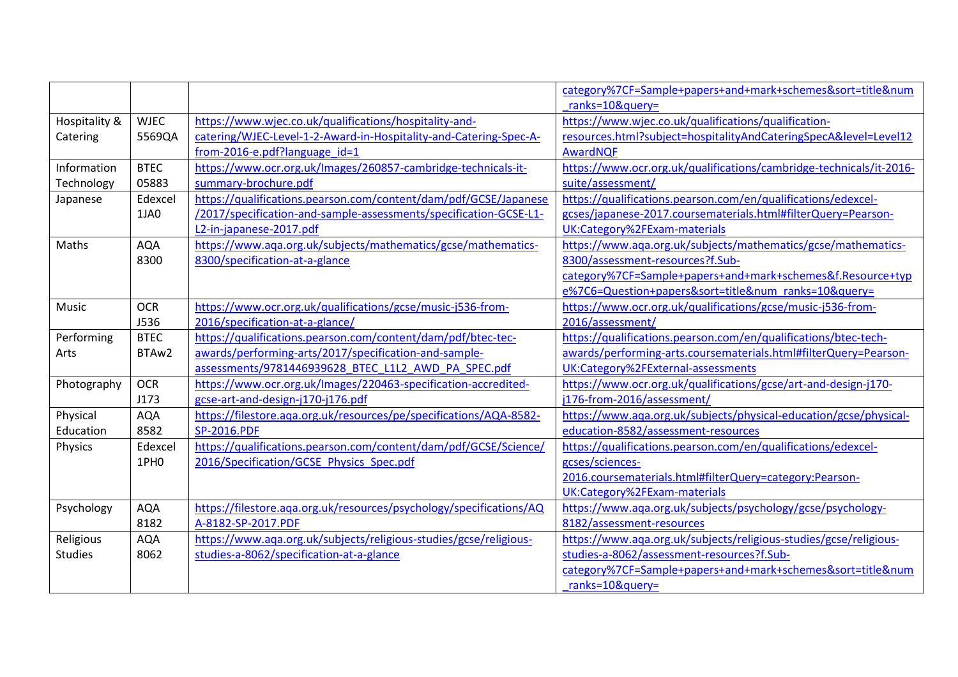|                |                  |                                                                     | category%7CF=Sample+papers+and+mark+schemes&sort=title#             |
|----------------|------------------|---------------------------------------------------------------------|---------------------------------------------------------------------|
|                |                  |                                                                     | ranks=10&query=                                                     |
| Hospitality &  | <b>WJEC</b>      | https://www.wjec.co.uk/qualifications/hospitality-and-              | https://www.wjec.co.uk/qualifications/qualification-                |
| Catering       | 5569QA           | catering/WJEC-Level-1-2-Award-in-Hospitality-and-Catering-Spec-A-   | resources.html?subject=hospitalityAndCateringSpecA&level=Level12    |
|                |                  | from-2016-e.pdf?language id=1                                       | AwardNQF                                                            |
| Information    | <b>BTEC</b>      | https://www.ocr.org.uk/Images/260857-cambridge-technicals-it-       | https://www.ocr.org.uk/qualifications/cambridge-technicals/it-2016- |
| Technology     | 05883            | summary-brochure.pdf                                                | suite/assessment/                                                   |
| Japanese       | Edexcel          | https://qualifications.pearson.com/content/dam/pdf/GCSE/Japanese    | https://qualifications.pearson.com/en/qualifications/edexcel-       |
|                | 1JA0             | /2017/specification-and-sample-assessments/specification-GCSE-L1-   | gcses/japanese-2017.coursematerials.html#filterQuery=Pearson-       |
|                |                  | L2-in-japanese-2017.pdf                                             | UK:Category%2FExam-materials                                        |
| Maths          | <b>AQA</b>       | https://www.aqa.org.uk/subjects/mathematics/gcse/mathematics-       | https://www.aqa.org.uk/subjects/mathematics/gcse/mathematics-       |
|                | 8300             | 8300/specification-at-a-glance                                      | 8300/assessment-resources?f.Sub-                                    |
|                |                  |                                                                     | category%7CF=Sample+papers+and+mark+schemes&f.Resource+typ          |
|                |                  |                                                                     | e%7C6=Question+papers&sort=title# ranks=10&query=                   |
| Music          | <b>OCR</b>       | https://www.ocr.org.uk/qualifications/gcse/music-j536-from-         | https://www.ocr.org.uk/qualifications/gcse/music-j536-from-         |
|                | <b>J536</b>      | 2016/specification-at-a-glance/                                     | 2016/assessment/                                                    |
| Performing     | <b>BTEC</b>      | https://qualifications.pearson.com/content/dam/pdf/btec-tec-        | https://qualifications.pearson.com/en/qualifications/btec-tech-     |
| Arts           | BTAw2            | awards/performing-arts/2017/specification-and-sample-               | awards/performing-arts.coursematerials.html#filterQuery=Pearson-    |
|                |                  | assessments/9781446939628 BTEC L1L2 AWD PA SPEC.pdf                 | UK:Category%2FExternal-assessments                                  |
| Photography    | <b>OCR</b>       | https://www.ocr.org.uk/Images/220463-specification-accredited-      | https://www.ocr.org.uk/qualifications/gcse/art-and-design-j170-     |
|                | J173             | gcse-art-and-design-j170-j176.pdf                                   | j176-from-2016/assessment/                                          |
| Physical       | <b>AQA</b>       | https://filestore.aqa.org.uk/resources/pe/specifications/AQA-8582-  | https://www.aqa.org.uk/subjects/physical-education/gcse/physical-   |
| Education      | 8582             | <b>SP-2016.PDF</b>                                                  | education-8582/assessment-resources                                 |
| Physics        | Edexcel          | https://qualifications.pearson.com/content/dam/pdf/GCSE/Science/    | https://qualifications.pearson.com/en/qualifications/edexcel-       |
|                | 1PH <sub>0</sub> | 2016/Specification/GCSE Physics Spec.pdf                            | gcses/sciences-                                                     |
|                |                  |                                                                     | 2016.coursematerials.html#filterQuery=category:Pearson-             |
|                |                  |                                                                     | UK:Category%2FExam-materials                                        |
| Psychology     | <b>AQA</b>       | https://filestore.aga.org.uk/resources/psychology/specifications/AQ | https://www.aqa.org.uk/subjects/psychology/gcse/psychology-         |
|                | 8182             | A-8182-SP-2017.PDF                                                  | 8182/assessment-resources                                           |
| Religious      | <b>AQA</b>       | https://www.aqa.org.uk/subjects/religious-studies/gcse/religious-   | https://www.aqa.org.uk/subjects/religious-studies/gcse/religious-   |
| <b>Studies</b> | 8062             | studies-a-8062/specification-at-a-glance                            | studies-a-8062/assessment-resources?f.Sub-                          |
|                |                  |                                                                     | category%7CF=Sample+papers+and+mark+schemes&sort=title#             |
|                |                  |                                                                     | ranks=10&query=                                                     |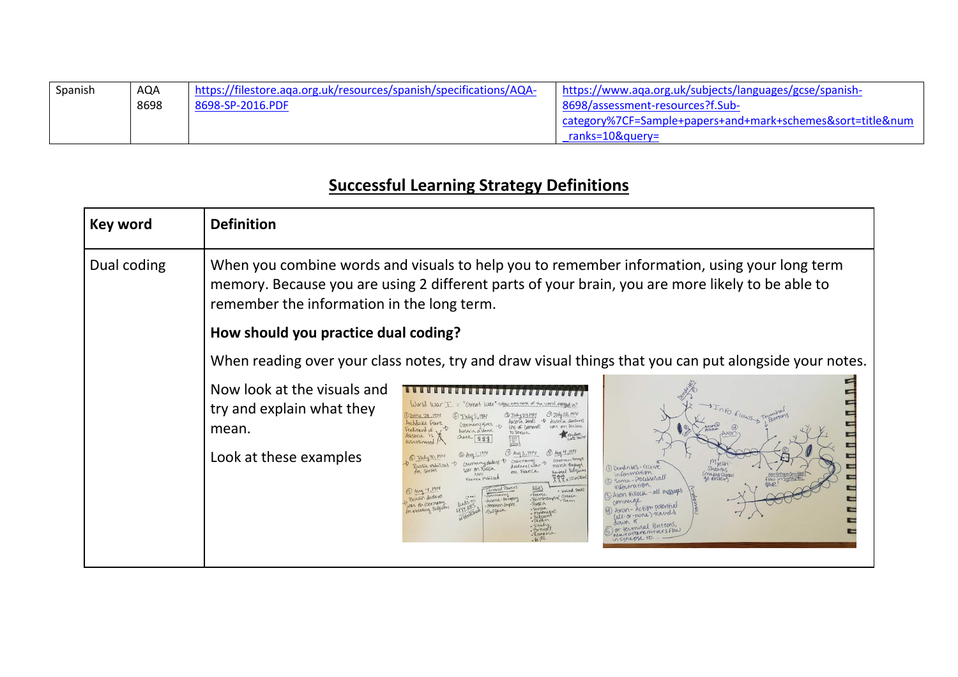| Spanish | AQA  | https://filestore.aga.org.uk/resources/spanish/specifications/AQA- | https://www.aqa.org.uk/subjects/languages/gcse/spanish-                    |
|---------|------|--------------------------------------------------------------------|----------------------------------------------------------------------------|
|         | 8698 | 8698-SP-2016.PDF                                                   | 8698/assessment-resources?f.Sub-                                           |
|         |      |                                                                    | category%7CF=Sample+papers+and+mark+schemes&sort=title#<br>ranks=10&guery= |

## **Successful Learning Strategy Definitions**

| Key word    | <b>Definition</b>                                                                           |                                                                                                                                                                                                                                                                                                                                                                                                                                                                                                                                                                           |                                                                                                                                                                                                  |
|-------------|---------------------------------------------------------------------------------------------|---------------------------------------------------------------------------------------------------------------------------------------------------------------------------------------------------------------------------------------------------------------------------------------------------------------------------------------------------------------------------------------------------------------------------------------------------------------------------------------------------------------------------------------------------------------------------|--------------------------------------------------------------------------------------------------------------------------------------------------------------------------------------------------|
| Dual coding | remember the information in the long term.<br>How should you practice dual coding?          |                                                                                                                                                                                                                                                                                                                                                                                                                                                                                                                                                                           | When you combine words and visuals to help you to remember information, using your long term<br>memory. Because you are using 2 different parts of your brain, you are more likely to be able to |
|             |                                                                                             |                                                                                                                                                                                                                                                                                                                                                                                                                                                                                                                                                                           | When reading over your class notes, try and draw visual things that you can put alongside your notes.                                                                                            |
|             | Now look at the visuals and<br>try and explain what they<br>mean.<br>Look at these examples | $\omega$ or $\alpha$<br>Great War - please was most of the world degreed in?<br>ustria sends<br>trehbuke Franz<br>on serbia<br>erdinand of,<br>Lustria a dank<br>Meydate,<br>rustria is<br>Check<br>SASSMHAN<br>) July 30, 19<br>German troop<br>Russia mobilizes<br>march through<br>declares wa<br>for serbia<br>newral Belgium<br>on France<br>受受×15millia<br>France Mobilized<br>Allies<br>entral Powers<br>· Writed State<br>- France<br><b>MANA</b><br>- Britishempire Greece<br>Britain dedare<br>wstria-Human<br>ROMANN EMPITE<br>movemegne<br>or nige<br>Romania | 1) Dendrites - receive<br>information<br>÷<br>Soma-Processesall<br>information<br>Axon Hillock - all messages<br>Action potential<br>all-or-none) travels                                        |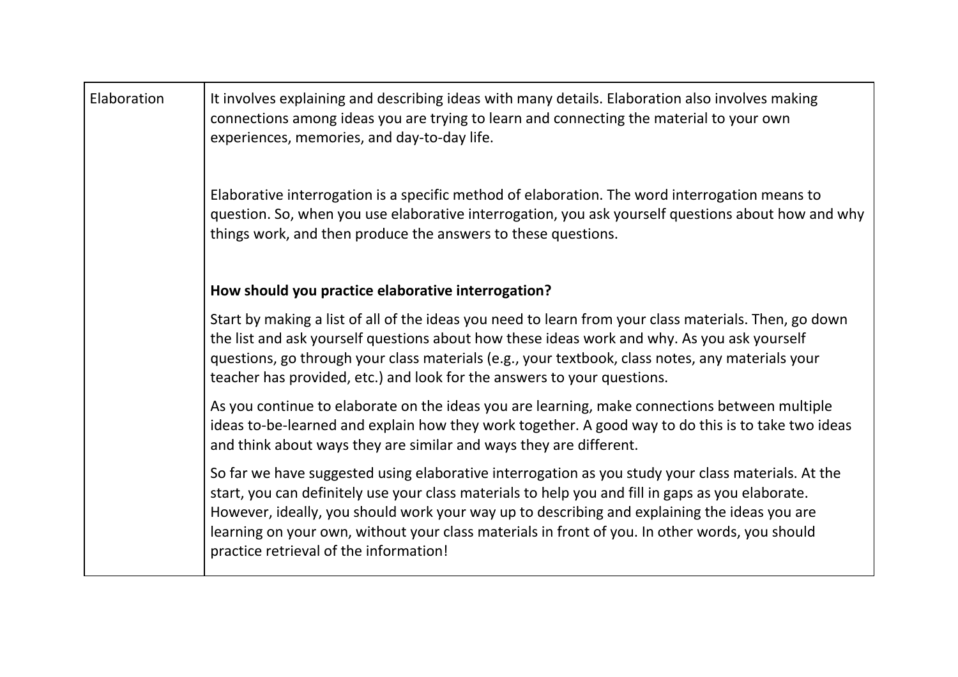| Elaboration | It involves explaining and describing ideas with many details. Elaboration also involves making<br>connections among ideas you are trying to learn and connecting the material to your own<br>experiences, memories, and day-to-day life.                                                                                                                                                                                                           |
|-------------|-----------------------------------------------------------------------------------------------------------------------------------------------------------------------------------------------------------------------------------------------------------------------------------------------------------------------------------------------------------------------------------------------------------------------------------------------------|
|             | Elaborative interrogation is a specific method of elaboration. The word interrogation means to<br>question. So, when you use elaborative interrogation, you ask yourself questions about how and why<br>things work, and then produce the answers to these questions.                                                                                                                                                                               |
|             | How should you practice elaborative interrogation?                                                                                                                                                                                                                                                                                                                                                                                                  |
|             | Start by making a list of all of the ideas you need to learn from your class materials. Then, go down<br>the list and ask yourself questions about how these ideas work and why. As you ask yourself<br>questions, go through your class materials (e.g., your textbook, class notes, any materials your<br>teacher has provided, etc.) and look for the answers to your questions.                                                                 |
|             | As you continue to elaborate on the ideas you are learning, make connections between multiple<br>ideas to-be-learned and explain how they work together. A good way to do this is to take two ideas<br>and think about ways they are similar and ways they are different.                                                                                                                                                                           |
|             | So far we have suggested using elaborative interrogation as you study your class materials. At the<br>start, you can definitely use your class materials to help you and fill in gaps as you elaborate.<br>However, ideally, you should work your way up to describing and explaining the ideas you are<br>learning on your own, without your class materials in front of you. In other words, you should<br>practice retrieval of the information! |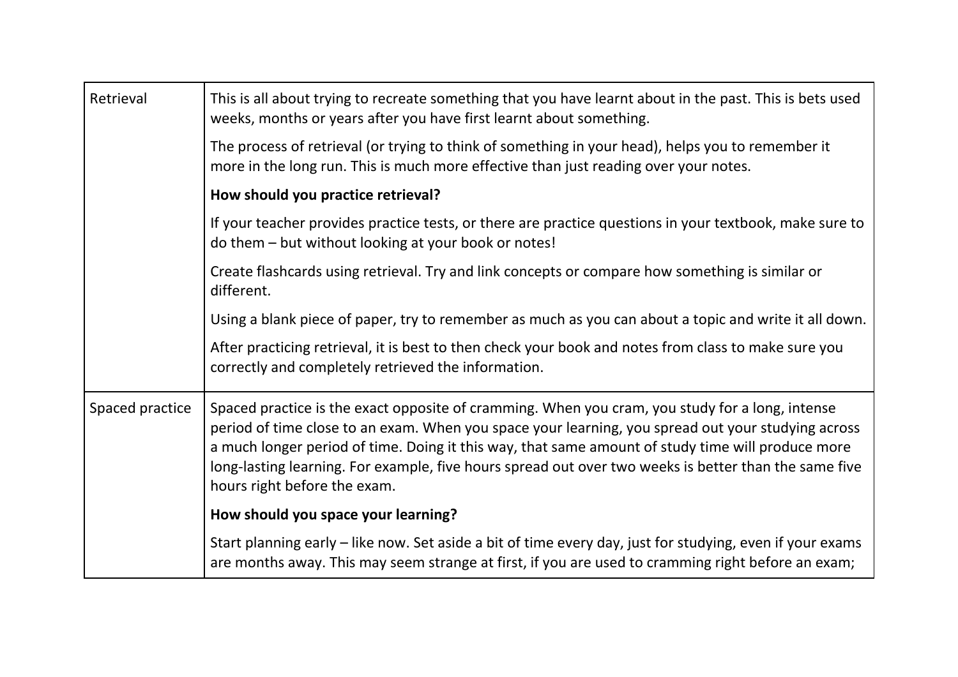| Retrieval       | This is all about trying to recreate something that you have learnt about in the past. This is bets used<br>weeks, months or years after you have first learnt about something.                                                                                                                                                                                                                                                                     |
|-----------------|-----------------------------------------------------------------------------------------------------------------------------------------------------------------------------------------------------------------------------------------------------------------------------------------------------------------------------------------------------------------------------------------------------------------------------------------------------|
|                 | The process of retrieval (or trying to think of something in your head), helps you to remember it<br>more in the long run. This is much more effective than just reading over your notes.                                                                                                                                                                                                                                                           |
|                 | How should you practice retrieval?                                                                                                                                                                                                                                                                                                                                                                                                                  |
|                 | If your teacher provides practice tests, or there are practice questions in your textbook, make sure to<br>do them - but without looking at your book or notes!                                                                                                                                                                                                                                                                                     |
|                 | Create flashcards using retrieval. Try and link concepts or compare how something is similar or<br>different.                                                                                                                                                                                                                                                                                                                                       |
|                 | Using a blank piece of paper, try to remember as much as you can about a topic and write it all down.                                                                                                                                                                                                                                                                                                                                               |
|                 | After practicing retrieval, it is best to then check your book and notes from class to make sure you<br>correctly and completely retrieved the information.                                                                                                                                                                                                                                                                                         |
| Spaced practice | Spaced practice is the exact opposite of cramming. When you cram, you study for a long, intense<br>period of time close to an exam. When you space your learning, you spread out your studying across<br>a much longer period of time. Doing it this way, that same amount of study time will produce more<br>long-lasting learning. For example, five hours spread out over two weeks is better than the same five<br>hours right before the exam. |
|                 | How should you space your learning?                                                                                                                                                                                                                                                                                                                                                                                                                 |
|                 | Start planning early - like now. Set aside a bit of time every day, just for studying, even if your exams<br>are months away. This may seem strange at first, if you are used to cramming right before an exam;                                                                                                                                                                                                                                     |